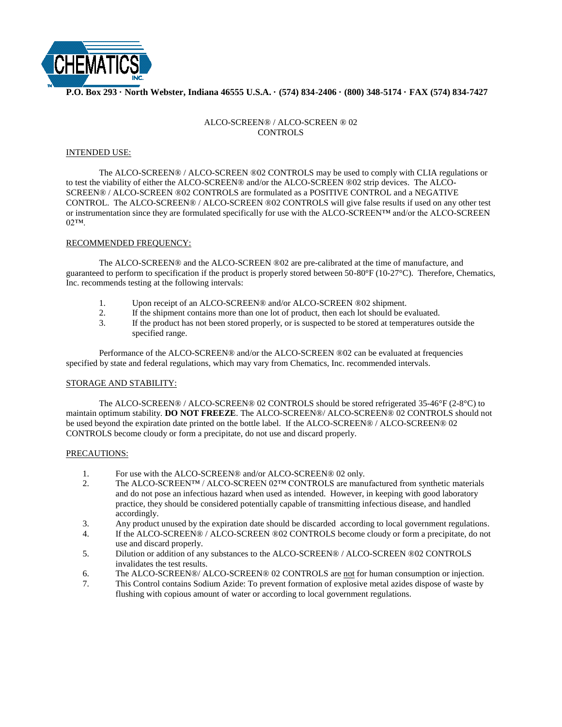

## **P.O. Box 293 · North Webster, Indiana 46555 U.S.A. · (574) 834-2406 · (800) 348-5174 · FAX (574) 834-7427**

# ALCO-SCREEN® / ALCO-SCREEN ® 02 CONTROLS

### INTENDED USE:

The ALCO-SCREEN® / ALCO-SCREEN ®02 CONTROLS may be used to comply with CLIA regulations or to test the viability of either the ALCO-SCREEN® and/or the ALCO-SCREEN ®02 strip devices. The ALCO-SCREEN® / ALCO-SCREEN ®02 CONTROLS are formulated as a POSITIVE CONTROL and a NEGATIVE CONTROL. The ALCO-SCREEN® / ALCO-SCREEN ®02 CONTROLS will give false results if used on any other test or instrumentation since they are formulated specifically for use with the ALCO-SCREEN™ and/or the ALCO-SCREEN 02™.

### RECOMMENDED FREQUENCY:

The ALCO-SCREEN® and the ALCO-SCREEN ®02 are pre-calibrated at the time of manufacture, and guaranteed to perform to specification if the product is properly stored between 50-80°F (10-27°C). Therefore, Chematics, Inc. recommends testing at the following intervals:

- 1. Upon receipt of an ALCO-SCREEN® and/or ALCO-SCREEN ®02 shipment.
- 2. If the shipment contains more than one lot of product, then each lot should be evaluated.
- 3. If the product has not been stored properly, or is suspected to be stored at temperatures outside the specified range.

Performance of the ALCO-SCREEN® and/or the ALCO-SCREEN ®02 can be evaluated at frequencies specified by state and federal regulations, which may vary from Chematics, Inc. recommended intervals.

## STORAGE AND STABILITY:

The ALCO-SCREEN® / ALCO-SCREEN® 02 CONTROLS should be stored refrigerated 35-46°F (2-8°C) to maintain optimum stability. **DO NOT FREEZE**. The ALCO-SCREEN®/ ALCO-SCREEN® 02 CONTROLS should not be used beyond the expiration date printed on the bottle label. If the ALCO-SCREEN® / ALCO-SCREEN® 02 CONTROLS become cloudy or form a precipitate, do not use and discard properly.

#### PRECAUTIONS:

- 1. For use with the ALCO-SCREEN® and/or ALCO-SCREEN® 02 only.
- 2. The ALCO-SCREEN™ / ALCO-SCREEN 02™ CONTROLS are manufactured from synthetic materials and do not pose an infectious hazard when used as intended. However, in keeping with good laboratory practice, they should be considered potentially capable of transmitting infectious disease, and handled accordingly.
- 3. Any product unused by the expiration date should be discarded according to local government regulations.
- 4. If the ALCO-SCREEN® / ALCO-SCREEN ®02 CONTROLS become cloudy or form a precipitate, do not use and discard properly.
- 5. Dilution or addition of any substances to the ALCO-SCREEN® / ALCO-SCREEN ®02 CONTROLS invalidates the test results.
- 6. The ALCO-SCREEN®/ ALCO-SCREEN® 02 CONTROLS are not for human consumption or injection.
- 7. This Control contains Sodium Azide: To prevent formation of explosive metal azides dispose of waste by flushing with copious amount of water or according to local government regulations.